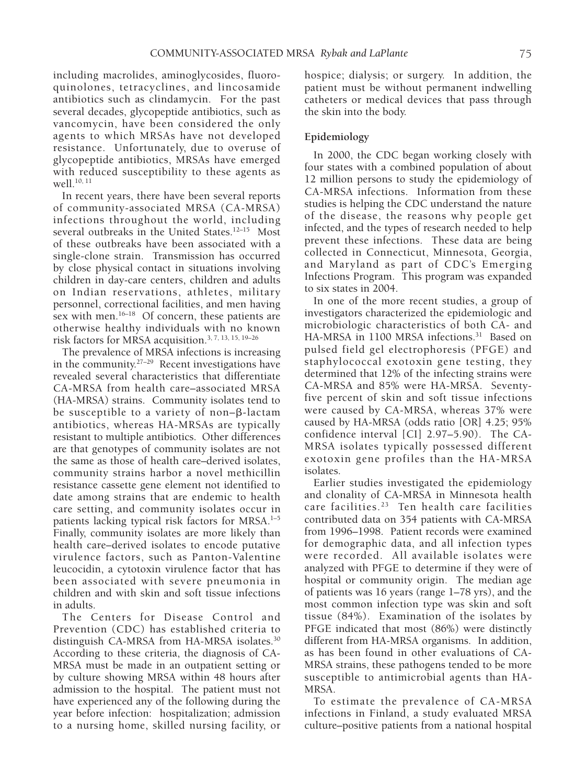including macrolides, aminoglycosides, fluoroquinolones, tetracyclines, and lincosamide antibiotics such as clindamycin. For the past several decades, glycopeptide antibiotics, such as vancomycin, have been considered the only agents to which MRSAs have not developed resistance. Unfortunately, due to overuse of glycopeptide antibiotics, MRSAs have emerged with reduced susceptibility to these agents as  $we$ <sup>10, 11</sup>

In recent years, there have been several reports of community-associated MRSA (CA-MRSA) infections throughout the world, including several outbreaks in the United States.<sup>12-15</sup> Most of these outbreaks have been associated with a single-clone strain. Transmission has occurred by close physical contact in situations involving children in day-care centers, children and adults on Indian reservations, athletes, military personnel, correctional facilities, and men having sex with men.<sup>16–18</sup> Of concern, these patients are otherwise healthy individuals with no known risk factors for MRSA acquisition.3, 7, 13, 15, 19–26

The prevalence of MRSA infections is increasing in the community.<sup>27-29</sup> Recent investigations have revealed several characteristics that differentiate CA-MRSA from health care–associated MRSA (HA-MRSA) strains. Community isolates tend to be susceptible to a variety of non- $\beta$ -lactam antibiotics, whereas HA-MRSAs are typically resistant to multiple antibiotics. Other differences are that genotypes of community isolates are not the same as those of health care–derived isolates, community strains harbor a novel methicillin resistance cassette gene element not identified to date among strains that are endemic to health care setting, and community isolates occur in patients lacking typical risk factors for MRSA.<sup>1-5</sup> Finally, community isolates are more likely than health care–derived isolates to encode putative virulence factors, such as Panton-Valentine leucocidin, a cytotoxin virulence factor that has been associated with severe pneumonia in children and with skin and soft tissue infections in adults.

The Centers for Disease Control and Prevention (CDC) has established criteria to distinguish CA-MRSA from HA-MRSA isolates.30 According to these criteria, the diagnosis of CA-MRSA must be made in an outpatient setting or by culture showing MRSA within 48 hours after admission to the hospital. The patient must not have experienced any of the following during the year before infection: hospitalization; admission to a nursing home, skilled nursing facility, or

hospice; dialysis; or surgery. In addition, the patient must be without permanent indwelling catheters or medical devices that pass through the skin into the body.

### **Epidemiology**

In 2000, the CDC began working closely with four states with a combined population of about 12 million persons to study the epidemiology of CA-MRSA infections. Information from these studies is helping the CDC understand the nature of the disease, the reasons why people get infected, and the types of research needed to help prevent these infections. These data are being collected in Connecticut, Minnesota, Georgia, and Maryland as part of CDC's Emerging Infections Program. This program was expanded to six states in 2004.

In one of the more recent studies, a group of investigators characterized the epidemiologic and microbiologic characteristics of both CA- and HA-MRSA in 1100 MRSA infections.<sup>31</sup> Based on pulsed field gel electrophoresis (PFGE) and staphylococcal exotoxin gene testing, they determined that 12% of the infecting strains were CA-MRSA and 85% were HA-MRSA. Seventyfive percent of skin and soft tissue infections were caused by CA-MRSA, whereas 37% were caused by HA-MRSA (odds ratio [OR] 4.25; 95% confidence interval [CI] 2.97–5.90). The CA-MRSA isolates typically possessed different exotoxin gene profiles than the HA-MRSA isolates.

Earlier studies investigated the epidemiology and clonality of CA-MRSA in Minnesota health care facilities.<sup>23</sup> Ten health care facilities contributed data on 354 patients with CA-MRSA from 1996–1998. Patient records were examined for demographic data, and all infection types were recorded. All available isolates were analyzed with PFGE to determine if they were of hospital or community origin. The median age of patients was 16 years (range 1–78 yrs), and the most common infection type was skin and soft tissue (84%). Examination of the isolates by PFGE indicated that most (86%) were distinctly different from HA-MRSA organisms. In addition, as has been found in other evaluations of CA-MRSA strains, these pathogens tended to be more susceptible to antimicrobial agents than HA-MRSA.

To estimate the prevalence of CA-MRSA infections in Finland, a study evaluated MRSA culture–positive patients from a national hospital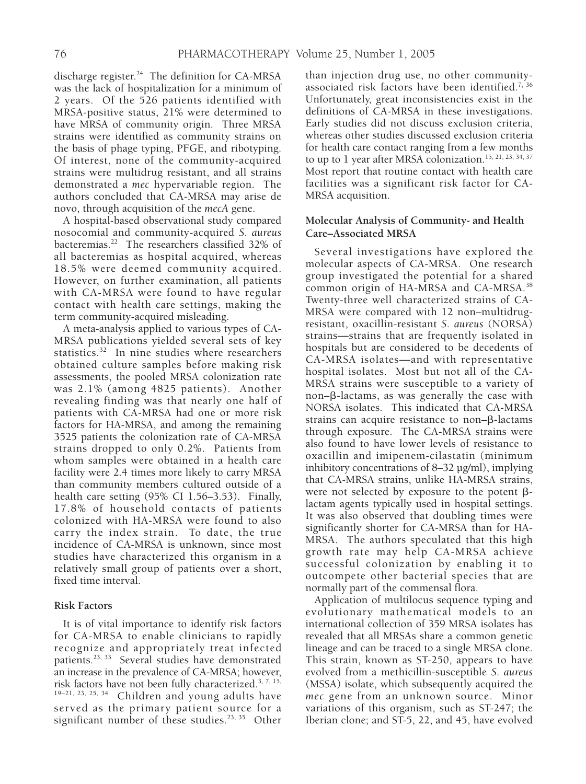discharge register.<sup>24</sup> The definition for CA-MRSA was the lack of hospitalization for a minimum of 2 years. Of the 526 patients identified with MRSA-positive status, 21% were determined to have MRSA of community origin. Three MRSA strains were identified as community strains on the basis of phage typing, PFGE, and ribotyping. Of interest, none of the community-acquired strains were multidrug resistant, and all strains demonstrated a *mec* hypervariable region. The authors concluded that CA-MRSA may arise de novo, through acquisition of the *mecA* gene.

A hospital-based observational study compared nosocomial and community-acquired *S. aureus* bacteremias.22 The researchers classified 32% of all bacteremias as hospital acquired, whereas 18.5% were deemed community acquired. However, on further examination, all patients with CA-MRSA were found to have regular contact with health care settings, making the term community-acquired misleading.

A meta-analysis applied to various types of CA-MRSA publications yielded several sets of key statistics.<sup>32</sup> In nine studies where researchers obtained culture samples before making risk assessments, the pooled MRSA colonization rate was 2.1% (among 4825 patients). Another revealing finding was that nearly one half of patients with CA-MRSA had one or more risk factors for HA-MRSA, and among the remaining 3525 patients the colonization rate of CA-MRSA strains dropped to only 0.2%. Patients from whom samples were obtained in a health care facility were 2.4 times more likely to carry MRSA than community members cultured outside of a health care setting (95% CI 1.56–3.53). Finally, 17.8% of household contacts of patients colonized with HA-MRSA were found to also carry the index strain. To date, the true incidence of CA-MRSA is unknown, since most studies have characterized this organism in a relatively small group of patients over a short, fixed time interval.

## **Risk Factors**

It is of vital importance to identify risk factors for CA-MRSA to enable clinicians to rapidly recognize and appropriately treat infected patients.23, 33 Several studies have demonstrated an increase in the prevalence of CA-MRSA; however, risk factors have not been fully characterized.<sup>3, 7, 15,</sup>  $19-21$ ,  $23$ ,  $25$ ,  $34$  Children and young adults have served as the primary patient source for a significant number of these studies.<sup>23, 35</sup> Other

than injection drug use, no other communityassociated risk factors have been identified.<sup>7,36</sup> Unfortunately, great inconsistencies exist in the definitions of CA-MRSA in these investigations. Early studies did not discuss exclusion criteria, whereas other studies discussed exclusion criteria for health care contact ranging from a few months to up to 1 year after MRSA colonization.<sup>15, 21, 23, 34, 37</sup> Most report that routine contact with health care facilities was a significant risk factor for CA-MRSA acquisition.

# **Molecular Analysis of Community- and Health Care–Associated MRSA**

Several investigations have explored the molecular aspects of CA-MRSA. One research group investigated the potential for a shared common origin of HA-MRSA and CA-MRSA.38 Twenty-three well characterized strains of CA-MRSA were compared with 12 non–multidrugresistant, oxacillin-resistant *S. aureus* (NORSA) strains—strains that are frequently isolated in hospitals but are considered to be decedents of CA-MRSA isolates—and with representative hospital isolates. Most but not all of the CA-MRSA strains were susceptible to a variety of non– $\beta$ -lactams, as was generally the case with NORSA isolates. This indicated that CA-MRSA strains can acquire resistance to non- $\beta$ -lactams through exposure. The CA-MRSA strains were also found to have lower levels of resistance to oxacillin and imipenem-cilastatin (minimum inhibitory concentrations of 8–32 µg/ml), implying that CA-MRSA strains, unlike HA-MRSA strains, were not selected by exposure to the potent  $\beta$ lactam agents typically used in hospital settings. It was also observed that doubling times were significantly shorter for CA-MRSA than for HA-MRSA. The authors speculated that this high growth rate may help CA-MRSA achieve successful colonization by enabling it to outcompete other bacterial species that are normally part of the commensal flora.

Application of multilocus sequence typing and evolutionary mathematical models to an international collection of 359 MRSA isolates has revealed that all MRSAs share a common genetic lineage and can be traced to a single MRSA clone. This strain, known as ST-250, appears to have evolved from a methicillin-susceptible *S. aureus* (MSSA) isolate, which subsequently acquired the *mec* gene from an unknown source. Minor variations of this organism, such as ST-247; the Iberian clone; and ST-5, 22, and 45, have evolved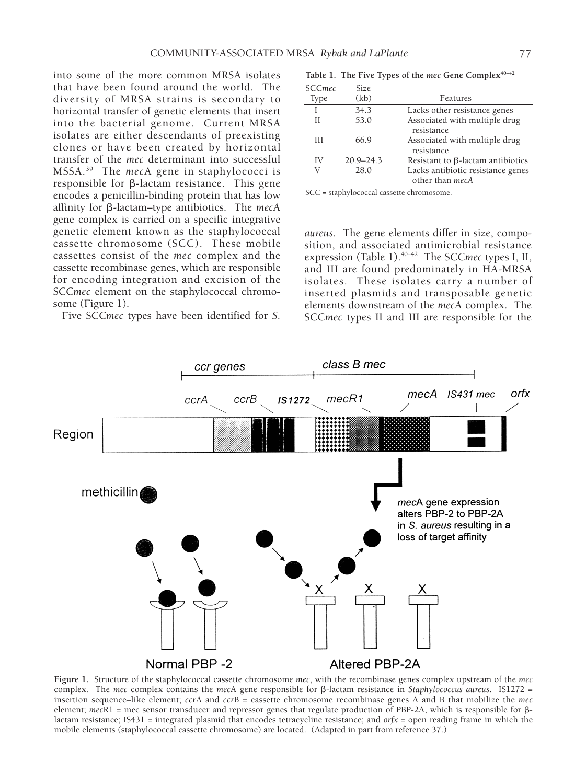into some of the more common MRSA isolates that have been found around the world. The diversity of MRSA strains is secondary to horizontal transfer of genetic elements that insert into the bacterial genome. Current MRSA isolates are either descendants of preexisting clones or have been created by horizontal transfer of the *mec* determinant into successful MSSA.39 The *mec*A gene in staphylococci is responsible for  $\beta$ -lactam resistance. This gene encodes a penicillin-binding protein that has low affinity for b-lactam–type antibiotics. The *mec*A gene complex is carried on a specific integrative genetic element known as the staphylococcal cassette chromosome (SCC). These mobile cassettes consist of the *mec* complex and the cassette recombinase genes, which are responsible for encoding integration and excision of the SCC*mec* element on the staphylococcal chromosome (Figure 1).

Five SCC*mec* types have been identified for *S.*

Table 1. The Five Types of the *mec* Gene Complex<sup>40-42</sup>

| SCCmec<br><b>Type</b> | Size.<br>(kb) | Features                                                    |
|-----------------------|---------------|-------------------------------------------------------------|
| T                     | 34.3          | Lacks other resistance genes                                |
| Н                     | 53.0          | Associated with multiple drug<br>resistance                 |
| Ш                     | 66.9          | Associated with multiple drug<br>resistance                 |
| IV                    | $20.9 - 24.3$ | Resistant to $\beta$ -lactam antibiotics                    |
| V                     | 28.0          | Lacks antibiotic resistance genes<br>other than <i>mecA</i> |

SCC = staphylococcal cassette chromosome.

*aureus*. The gene elements differ in size, composition, and associated antimicrobial resistance expression (Table 1).40–42 The SCC*mec* types I, II, and III are found predominately in HA-MRSA isolates. These isolates carry a number of inserted plasmids and transposable genetic elements downstream of the *mec*A complex. The SCC*mec* types II and III are responsible for the



**Figure 1.** Structure of the staphylococcal cassette chromosome *mec*, with the recombinase genes complex upstream of the *mec* complex. The *mec* complex contains the *mecA* gene responsible for  $\beta$ -lactam resistance in *Staphylococcus aureus*. IS1272 = insertion sequence–like element; *ccr*A and *ccr*B = cassette chromosome recombinase genes A and B that mobilize the *mec* element; *mec*R1 = mec sensor transducer and repressor genes that regulate production of PBP-2A, which is responsible for blactam resistance; IS431 = integrated plasmid that encodes tetracycline resistance; and *orfx* = open reading frame in which the mobile elements (staphylococcal cassette chromosome) are located. (Adapted in part from reference 37.)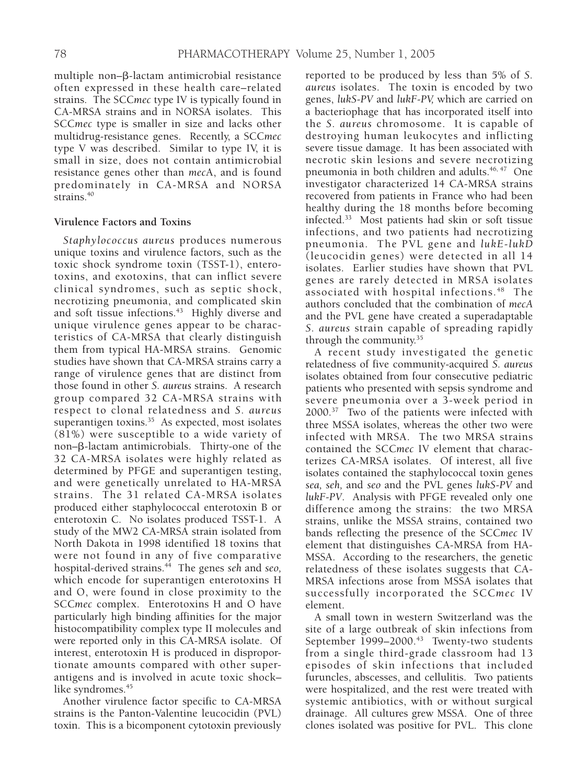multiple non- $\beta$ -lactam antimicrobial resistance often expressed in these health care–related strains. The SCC*mec* type IV is typically found in CA-MRSA strains and in NORSA isolates. This SCC*mec* type is smaller in size and lacks other multidrug-resistance genes. Recently, a SCC*mec* type V was described. Similar to type IV, it is small in size, does not contain antimicrobial resistance genes other than *mec*A, and is found predominately in CA-MRSA and NORSA strains.<sup>40</sup>

## **Virulence Factors and Toxins**

*Staphylococcus aureus* produces numerous unique toxins and virulence factors, such as the toxic shock syndrome toxin (TSST-1), enterotoxins, and exotoxins, that can inflict severe clinical syndromes, such as septic shock, necrotizing pneumonia, and complicated skin and soft tissue infections.<sup>43</sup> Highly diverse and unique virulence genes appear to be characteristics of CA-MRSA that clearly distinguish them from typical HA-MRSA strains. Genomic studies have shown that CA-MRSA strains carry a range of virulence genes that are distinct from those found in other *S. aureus* strains. A research group compared 32 CA-MRSA strains with respect to clonal relatedness and *S. aureus* superantigen toxins.<sup>35</sup> As expected, most isolates (81%) were susceptible to a wide variety of non– $\beta$ -lactam antimicrobials. Thirty-one of the 32 CA-MRSA isolates were highly related as determined by PFGE and superantigen testing, and were genetically unrelated to HA-MRSA strains. The 31 related CA-MRSA isolates produced either staphylococcal enterotoxin B or enterotoxin C. No isolates produced TSST-1. A study of the MW2 CA-MRSA strain isolated from North Dakota in 1998 identified 18 toxins that were not found in any of five comparative hospital-derived strains.44 The genes *seh* and *seo,* which encode for superantigen enterotoxins H and O, were found in close proximity to the SCC*mec* complex. Enterotoxins H and O have particularly high binding affinities for the major histocompatibility complex type II molecules and were reported only in this CA-MRSA isolate. Of interest, enterotoxin H is produced in disproportionate amounts compared with other superantigens and is involved in acute toxic shock– like syndromes.<sup>45</sup>

Another virulence factor specific to CA-MRSA strains is the Panton-Valentine leucocidin (PVL) toxin. This is a bicomponent cytotoxin previously

reported to be produced by less than 5% of *S. aureus* isolates. The toxin is encoded by two genes, *lukS-PV* and *lukF-PV,* which are carried on a bacteriophage that has incorporated itself into the *S. aureus* chromosome. It is capable of destroying human leukocytes and inflicting severe tissue damage. It has been associated with necrotic skin lesions and severe necrotizing pneumonia in both children and adults.46, 47 One investigator characterized 14 CA-MRSA strains recovered from patients in France who had been healthy during the 18 months before becoming infected.33 Most patients had skin or soft tissue infections, and two patients had necrotizing pneumonia. The PVL gene and *lukE-lukD* (leucocidin genes) were detected in all 14 isolates. Earlier studies have shown that PVL genes are rarely detected in MRSA isolates associated with hospital infections.<sup>48</sup> The authors concluded that the combination of *mecA* and the PVL gene have created a superadaptable *S. aureus* strain capable of spreading rapidly through the community. 35

A recent study investigated the genetic relatedness of five community-acquired *S. aureus* isolates obtained from four consecutive pediatric patients who presented with sepsis syndrome and severe pneumonia over a 3-week period in 2000.37 Two of the patients were infected with three MSSA isolates, whereas the other two were infected with MRSA. The two MRSA strains contained the SCC*mec* IV element that characterizes CA-MRSA isolates. Of interest, all five isolates contained the staphylococcal toxin genes *sea, seh,* and *seo* and the PVL genes *lukS-PV* and *lukF-PV*. Analysis with PFGE revealed only one difference among the strains: the two MRSA strains, unlike the MSSA strains, contained two bands reflecting the presence of the SCC*mec* IV element that distinguishes CA-MRSA from HA-MSSA. According to the researchers, the genetic relatedness of these isolates suggests that CA-MRSA infections arose from MSSA isolates that successfully incorporated the SCC*mec* IV element.

A small town in western Switzerland was the site of a large outbreak of skin infections from September 1999–2000.<sup>43</sup> Twenty-two students from a single third-grade classroom had 13 episodes of skin infections that included furuncles, abscesses, and cellulitis. Two patients were hospitalized, and the rest were treated with systemic antibiotics, with or without surgical drainage. All cultures grew MSSA. One of three clones isolated was positive for PVL. This clone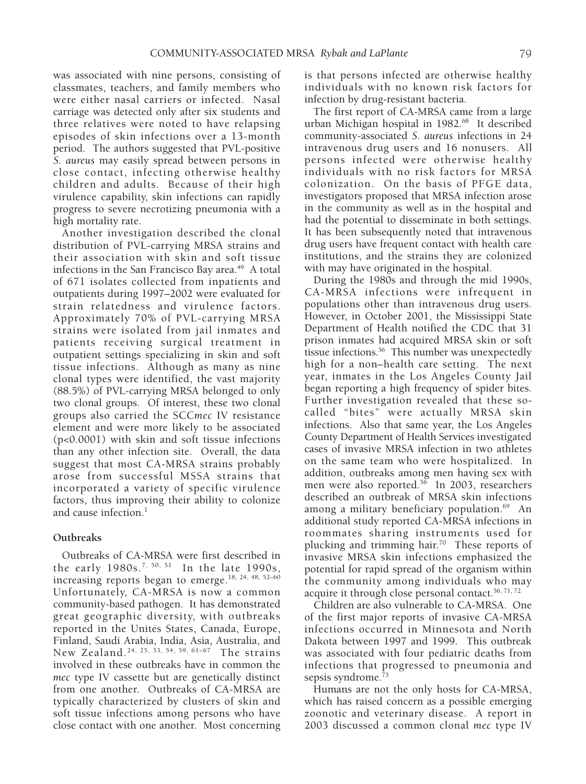was associated with nine persons, consisting of classmates, teachers, and family members who were either nasal carriers or infected. Nasal carriage was detected only after six students and three relatives were noted to have relapsing episodes of skin infections over a 13-month period. The authors suggested that PVL-positive *S. aureus* may easily spread between persons in close contact, infecting otherwise healthy children and adults. Because of their high virulence capability, skin infections can rapidly progress to severe necrotizing pneumonia with a high mortality rate.

Another investigation described the clonal distribution of PVL-carrying MRSA strains and their association with skin and soft tissue infections in the San Francisco Bay area. $49$  A total of 671 isolates collected from inpatients and outpatients during 1997–2002 were evaluated for strain relatedness and virulence factors. Approximately 70% of PVL-carrying MRSA strains were isolated from jail inmates and patients receiving surgical treatment in outpatient settings specializing in skin and soft tissue infections. Although as many as nine clonal types were identified, the vast majority (88.5%) of PVL-carrying MRSA belonged to only two clonal groups. Of interest, these two clonal groups also carried the SCC*mec* IV resistance element and were more likely to be associated (p<0.0001) with skin and soft tissue infections than any other infection site. Overall, the data suggest that most CA-MRSA strains probably arose from successful MSSA strains that incorporated a variety of specific virulence factors, thus improving their ability to colonize and cause infection. $<sup>1</sup>$ </sup>

## **Outbreaks**

Outbreaks of CA-MRSA were first described in the early 1980s.<sup>7, 50, 51</sup> In the late 1990s, increasing reports began to emerge.<sup>18, 24, 48, 52-60</sup> Unfortunately, CA-MRSA is now a common community-based pathogen. It has demonstrated great geographic diversity, with outbreaks reported in the Unites States, Canada, Europe, Finland, Saudi Arabia, India, Asia, Australia, and New Zealand.24, 25, 53, 54, 59, 61–67 The strains involved in these outbreaks have in common the *mec* type IV cassette but are genetically distinct from one another. Outbreaks of CA-MRSA are typically characterized by clusters of skin and soft tissue infections among persons who have close contact with one another. Most concerning is that persons infected are otherwise healthy individuals with no known risk factors for infection by drug-resistant bacteria.

The first report of CA-MRSA came from a large urban Michigan hospital in 1982.<sup>68</sup> It described community-associated *S. aureus* infections in 24 intravenous drug users and 16 nonusers. All persons infected were otherwise healthy individuals with no risk factors for MRSA colonization. On the basis of PFGE data, investigators proposed that MRSA infection arose in the community as well as in the hospital and had the potential to disseminate in both settings. It has been subsequently noted that intravenous drug users have frequent contact with health care institutions, and the strains they are colonized with may have originated in the hospital.

During the 1980s and through the mid 1990s, CA-MRSA infections were infrequent in populations other than intravenous drug users. However, in October 2001, the Mississippi State Department of Health notified the CDC that 31 prison inmates had acquired MRSA skin or soft tissue infections.<sup>56</sup> This number was unexpectedly high for a non–health care setting. The next year, inmates in the Los Angeles County Jail began reporting a high frequency of spider bites. Further investigation revealed that these socalled "bites" were actually MRSA skin infections. Also that same year, the Los Angeles County Department of Health Services investigated cases of invasive MRSA infection in two athletes on the same team who were hospitalized. In addition, outbreaks among men having sex with men were also reported.<sup>56</sup> In 2003, researchers described an outbreak of MRSA skin infections among a military beneficiary population.<sup>69</sup> An additional study reported CA-MRSA infections in roommates sharing instruments used for plucking and trimming hair.<sup>70</sup> These reports of invasive MRSA skin infections emphasized the potential for rapid spread of the organism within the community among individuals who may acquire it through close personal contact.<sup>56, 71, 72</sup>

Children are also vulnerable to CA-MRSA. One of the first major reports of invasive CA-MRSA infections occurred in Minnesota and North Dakota between 1997 and 1999. This outbreak was associated with four pediatric deaths from infections that progressed to pneumonia and sepsis syndrome.<sup>73</sup>

Humans are not the only hosts for CA-MRSA, which has raised concern as a possible emerging zoonotic and veterinary disease. A report in 2003 discussed a common clonal *mec* type IV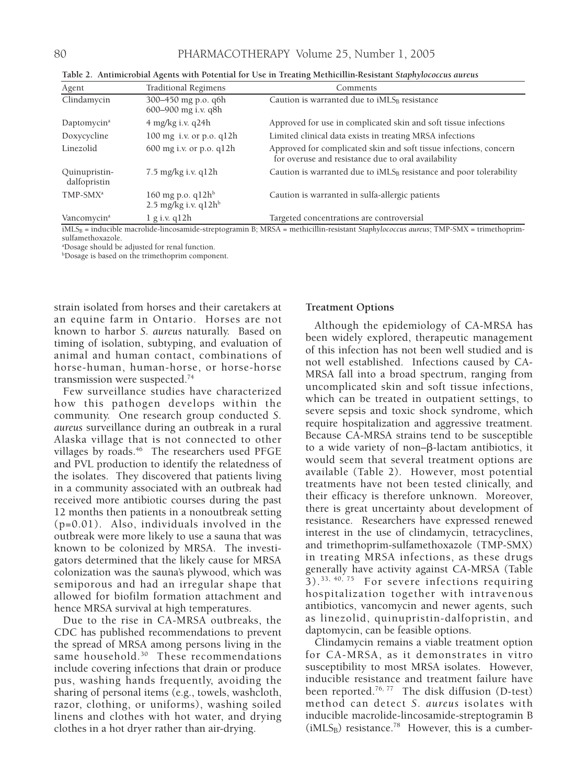| Agent                         | <b>Traditional Regimens</b>                       | Comments                                                                                                                 |
|-------------------------------|---------------------------------------------------|--------------------------------------------------------------------------------------------------------------------------|
| Clindamycin                   | 300–450 mg p.o. q6h<br>600-900 mg i.v. q8h        | Caution is warranted due to $IMLS_B$ resistance                                                                          |
| Daptomycin <sup>a</sup>       | $4$ mg/kg i.v. q24h                               | Approved for use in complicated skin and soft tissue infections                                                          |
| Doxycycline                   | $100 \text{ mg}$ i.v. or p.o. q $12h$             | Limited clinical data exists in treating MRSA infections                                                                 |
| Linezolid                     | $600$ mg i.v. or p.o. q $12h$                     | Approved for complicated skin and soft tissue infections, concern<br>for overuse and resistance due to oral availability |
| Quinupristin-<br>dalfopristin | $7.5 \text{ mg/kg}$ i.v. q $12h$                  | Caution is warranted due to $IMLS_B$ resistance and poor tolerability                                                    |
| TMP-SMX <sup>a</sup>          | 160 mg p.o. $q12h^b$<br>$2.5$ mg/kg i.v. q $12hb$ | Caution is warranted in sulfa-allergic patients                                                                          |
| Vancomycin <sup>a</sup>       | $1$ g i.v. q $12h$                                | Targeted concentrations are controversial                                                                                |

**Table 2. Antimicrobial Agents with Potential for Use in Treating Methicillin-Resistant** *Staphylococcus aureus*

iMLSB = inducible macrolide-lincosamide-streptogramin B; MRSA = methicillin-resistant *Staphylococcus aureus*; TMP-SMX = trimethoprimsulfamethoxazole.

a Dosage should be adjusted for renal function.

b Dosage is based on the trimethoprim component.

strain isolated from horses and their caretakers at an equine farm in Ontario. Horses are not known to harbor *S. aureus* naturally. Based on timing of isolation, subtyping, and evaluation of animal and human contact, combinations of horse-human, human-horse, or horse-horse transmission were suspected.<sup>74</sup>

Few surveillance studies have characterized how this pathogen develops within the community. One research group conducted *S. aureus* surveillance during an outbreak in a rural Alaska village that is not connected to other villages by roads.<sup>46</sup> The researchers used PFGE and PVL production to identify the relatedness of the isolates. They discovered that patients living in a community associated with an outbreak had received more antibiotic courses during the past 12 months then patients in a nonoutbreak setting (p=0.01). Also, individuals involved in the outbreak were more likely to use a sauna that was known to be colonized by MRSA. The investigators determined that the likely cause for MRSA colonization was the sauna's plywood, which was semiporous and had an irregular shape that allowed for biofilm formation attachment and hence MRSA survival at high temperatures.

Due to the rise in CA-MRSA outbreaks, the CDC has published recommendations to prevent the spread of MRSA among persons living in the same household.<sup>30</sup> These recommendations include covering infections that drain or produce pus, washing hands frequently, avoiding the sharing of personal items (e.g., towels, washcloth, razor, clothing, or uniforms), washing soiled linens and clothes with hot water, and drying clothes in a hot dryer rather than air-drying.

### **Treatment Options**

Although the epidemiology of CA-MRSA has been widely explored, therapeutic management of this infection has not been well studied and is not well established. Infections caused by CA-MRSA fall into a broad spectrum, ranging from uncomplicated skin and soft tissue infections, which can be treated in outpatient settings, to severe sepsis and toxic shock syndrome, which require hospitalization and aggressive treatment. Because CA-MRSA strains tend to be susceptible to a wide variety of non- $\beta$ -lactam antibiotics, it would seem that several treatment options are available (Table 2). However, most potential treatments have not been tested clinically, and their efficacy is therefore unknown. Moreover, there is great uncertainty about development of resistance. Researchers have expressed renewed interest in the use of clindamycin, tetracyclines, and trimethoprim-sulfamethoxazole (TMP-SMX) in treating MRSA infections, as these drugs generally have activity against CA-MRSA (Table  $3)$ .<sup>33, 40, 75</sup> For severe infections requiring hospitalization together with intravenous antibiotics, vancomycin and newer agents, such as linezolid, quinupristin-dalfopristin, and daptomycin, can be feasible options.

Clindamycin remains a viable treatment option for CA-MRSA, as it demonstrates in vitro susceptibility to most MRSA isolates. However, inducible resistance and treatment failure have been reported.<sup>76, 77</sup> The disk diffusion (D-test) method can detect *S. aureus* isolates with inducible macrolide-lincosamide-streptogramin B  $(iMLS_B)$  resistance.<sup>78</sup> However, this is a cumber-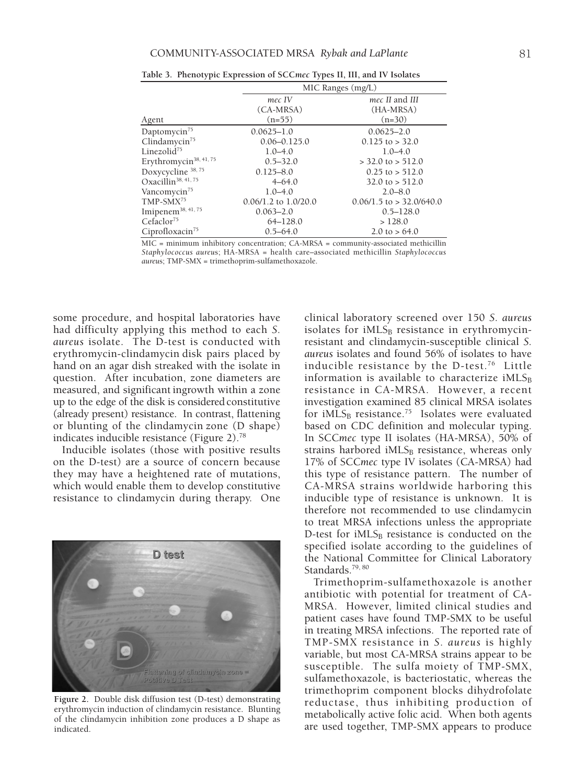|                                    | MIC Ranges (mg/L)        |                              |  |
|------------------------------------|--------------------------|------------------------------|--|
|                                    | mec IV                   | mec II and III               |  |
|                                    | $(CA-MRSA)$              | (HA-MRSA)                    |  |
| Agent                              | $(n=55)$                 | $(n=30)$                     |  |
| Daptomycin <sup>75</sup>           | $0.0625 - 1.0$           | $0.0625 - 2.0$               |  |
| Clindamycin <sup>75</sup>          | $0.06 - 0.125.0$         | $0.125$ to > 32.0            |  |
| Linezolid $^{75}$                  | $1.0 - 4.0$              | $1.0 - 4.0$                  |  |
| Erythromycin <sup>38, 41, 75</sup> | $0.5 - 32.0$             | $>$ 32.0 to $>$ 512.0        |  |
| Doxycycline 38, 75                 | $0.125 - 8.0$            | $0.25$ to $> 512.0$          |  |
| Oxacillin <sup>38, 41, 75</sup>    | $4 - 64.0$               | $32.0 \text{ to } > 512.0$   |  |
| Vancomycin <sup>75</sup>           | $1.0 - 4.0$              | $2.0 - 8.0$                  |  |
| $TMP-SMX^{75}$                     | $0.06/1.2$ to $1.0/20.0$ | $0.06/1.5$ to $> 32.0/640.0$ |  |
| Imipenem <sup>38, 41, 75</sup>     | $0.063 - 2.0$            | $0.5 - 128.0$                |  |
| Cefaclor <sup>75</sup>             | $64 - 128.0$             | >128.0                       |  |
| Ciprofloxacin <sup>75</sup>        | $0.5 - 64.0$             | 2.0 to $> 64.0$              |  |

**Table 3. Phenotypic Expression of SCC***mec* **Types II, III, and IV Isolates**

MIC = minimum inhibitory concentration; CA-MRSA = community-associated methicillin *Staphylococcus aureu*s; HA-MRSA = health care–associated methicillin *Staphylococcus aureu*s; TMP-SMX = trimethoprim-sulfamethoxazole.

some procedure, and hospital laboratories have had difficulty applying this method to each *S. aureus* isolate. The D-test is conducted with erythromycin-clindamycin disk pairs placed by hand on an agar dish streaked with the isolate in question. After incubation, zone diameters are measured, and significant ingrowth within a zone up to the edge of the disk is considered constitutive (already present) resistance. In contrast, flattening or blunting of the clindamycin zone (D shape) indicates inducible resistance (Figure 2).78

Inducible isolates (those with positive results on the D-test) are a source of concern because they may have a heightened rate of mutations, which would enable them to develop constitutive resistance to clindamycin during therapy. One



**Figure 2.** Double disk diffusion test (D-test) demonstrating erythromycin induction of clindamycin resistance. Blunting of the clindamycin inhibition zone produces a D shape as indicated.

clinical laboratory screened over 150 *S. aureus* isolates for  $IMLS_B$  resistance in erythromycinresistant and clindamycin-susceptible clinical *S. aureus* isolates and found 56% of isolates to have inducible resistance by the D-test.<sup>76</sup> Little information is available to characterize iMLS $_B$ resistance in CA-MRSA. However, a recent investigation examined 85 clinical MRSA isolates for iMLS<sub>B</sub> resistance.<sup>75</sup> Isolates were evaluated based on CDC definition and molecular typing. In SCC*mec* type II isolates (HA-MRSA), 50% of strains harbored  $IMLS_B$  resistance, whereas only 17% of SCC*mec* type IV isolates (CA-MRSA) had this type of resistance pattern. The number of CA-MRSA strains worldwide harboring this inducible type of resistance is unknown. It is therefore not recommended to use clindamycin to treat MRSA infections unless the appropriate D-test for  $iMLS_B$  resistance is conducted on the specified isolate according to the guidelines of the National Committee for Clinical Laboratory Standards.<sup>79, 80</sup>

Trimethoprim-sulfamethoxazole is another antibiotic with potential for treatment of CA-MRSA. However, limited clinical studies and patient cases have found TMP-SMX to be useful in treating MRSA infections. The reported rate of TMP-SMX resistance in *S. aureus* is highly variable, but most CA-MRSA strains appear to be susceptible. The sulfa moiety of TMP-SMX, sulfamethoxazole, is bacteriostatic, whereas the trimethoprim component blocks dihydrofolate reductase, thus inhibiting production of metabolically active folic acid. When both agents are used together, TMP-SMX appears to produce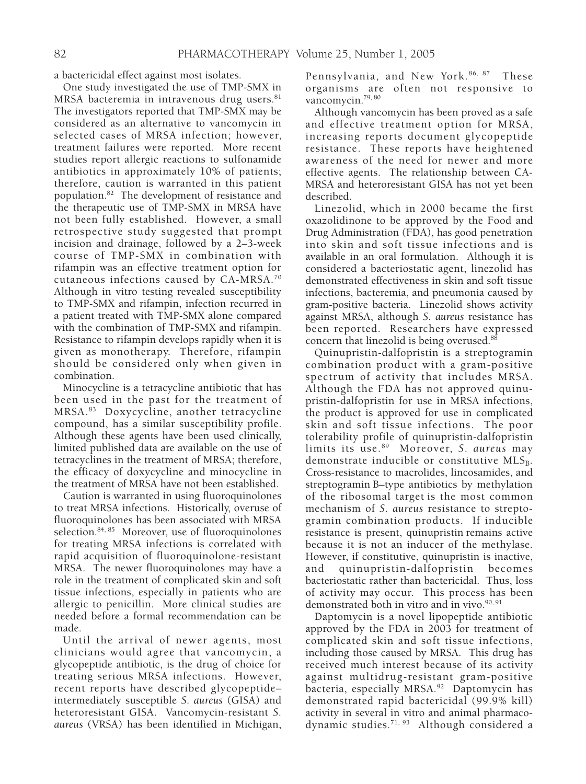a bactericidal effect against most isolates.

One study investigated the use of TMP-SMX in MRSA bacteremia in intravenous drug users.<sup>81</sup> The investigators reported that TMP-SMX may be considered as an alternative to vancomycin in selected cases of MRSA infection; however, treatment failures were reported. More recent studies report allergic reactions to sulfonamide antibiotics in approximately 10% of patients; therefore, caution is warranted in this patient population.82 The development of resistance and the therapeutic use of TMP-SMX in MRSA have not been fully established. However, a small retrospective study suggested that prompt incision and drainage, followed by a 2–3-week course of TMP-SMX in combination with rifampin was an effective treatment option for cutaneous infections caused by CA-MRSA.70 Although in vitro testing revealed susceptibility to TMP-SMX and rifampin, infection recurred in a patient treated with TMP-SMX alone compared with the combination of TMP-SMX and rifampin. Resistance to rifampin develops rapidly when it is given as monotherapy. Therefore, rifampin should be considered only when given in combination.

Minocycline is a tetracycline antibiotic that has been used in the past for the treatment of MRSA.83 Doxycycline, another tetracycline compound, has a similar susceptibility profile. Although these agents have been used clinically, limited published data are available on the use of tetracyclines in the treatment of MRSA; therefore, the efficacy of doxycycline and minocycline in the treatment of MRSA have not been established.

Caution is warranted in using fluoroquinolones to treat MRSA infections. Historically, overuse of fluoroquinolones has been associated with MRSA selection.<sup>84, 85</sup> Moreover, use of fluoroquinolones for treating MRSA infections is correlated with rapid acquisition of fluoroquinolone-resistant MRSA. The newer fluoroquinolones may have a role in the treatment of complicated skin and soft tissue infections, especially in patients who are allergic to penicillin. More clinical studies are needed before a formal recommendation can be made.

Until the arrival of newer agents, most clinicians would agree that vancomycin, a glycopeptide antibiotic, is the drug of choice for treating serious MRSA infections. However, recent reports have described glycopeptide– intermediately susceptible *S. aureus* (GISA) and heteroresistant GISA. Vancomycin-resistant *S. aureus* (VRSA) has been identified in Michigan, Pennsylvania, and New York.<sup>86, 87</sup> These organisms are often not responsive to vancomycin.<sup>79, 80</sup>

Although vancomycin has been proved as a safe and effective treatment option for MRSA, increasing reports document glycopeptide resistance. These reports have heightened awareness of the need for newer and more effective agents. The relationship between CA-MRSA and heteroresistant GISA has not yet been described.

Linezolid, which in 2000 became the first oxazolidinone to be approved by the Food and Drug Administration (FDA), has good penetration into skin and soft tissue infections and is available in an oral formulation. Although it is considered a bacteriostatic agent, linezolid has demonstrated effectiveness in skin and soft tissue infections, bacteremia, and pneumonia caused by gram-positive bacteria. Linezolid shows activity against MRSA, although *S. aureus* resistance has been reported. Researchers have expressed concern that linezolid is being overused.<sup>88</sup>

Quinupristin-dalfopristin is a streptogramin combination product with a gram-positive spectrum of activity that includes MRSA. Although the FDA has not approved quinupristin-dalfopristin for use in MRSA infections, the product is approved for use in complicated skin and soft tissue infections. The poor tolerability profile of quinupristin-dalfopristin limits its use.89 Moreover, *S. aureus* may demonstrate inducible or constitutive  $MLS_B$ . Cross-resistance to macrolides, lincosamides, and streptogramin B–type antibiotics by methylation of the ribosomal target is the most common mechanism of *S. aureus* resistance to streptogramin combination products. If inducible resistance is present, quinupristin remains active because it is not an inducer of the methylase. However, if constitutive, quinupristin is inactive, and quinupristin-dalfopristin becomes bacteriostatic rather than bactericidal. Thus, loss of activity may occur. This process has been demonstrated both in vitro and in vivo.<sup>90, 91</sup>

Daptomycin is a novel lipopeptide antibiotic approved by the FDA in 2003 for treatment of complicated skin and soft tissue infections, including those caused by MRSA. This drug has received much interest because of its activity against multidrug-resistant gram-positive bacteria, especially MRSA*.* <sup>92</sup> Daptomycin has demonstrated rapid bactericidal (99.9% kill) activity in several in vitro and animal pharmacodynamic studies.71, 93 Although considered a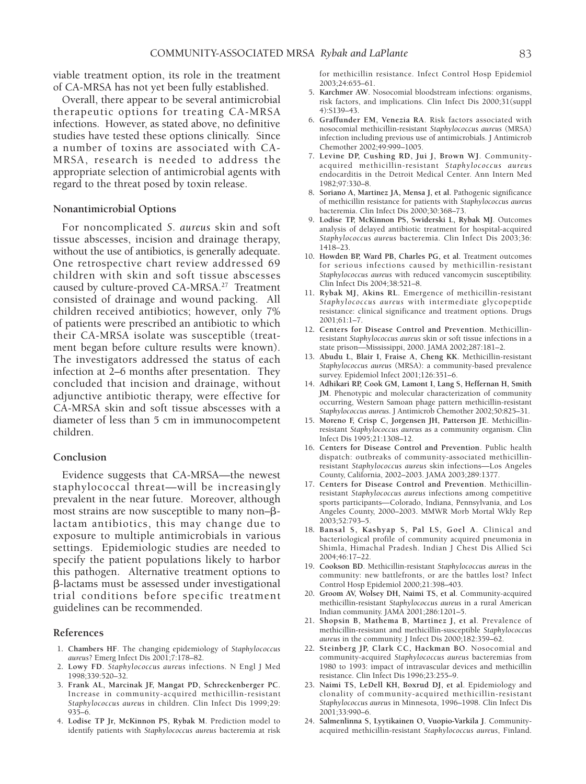viable treatment option, its role in the treatment of CA-MRSA has not yet been fully established.

Overall, there appear to be several antimicrobial therapeutic options for treating CA-MRSA infections. However, as stated above, no definitive studies have tested these options clinically. Since a number of toxins are associated with CA-MRSA, research is needed to address the appropriate selection of antimicrobial agents with regard to the threat posed by toxin release.

#### **Nonantimicrobial Options**

For noncomplicated *S. aureus* skin and soft tissue abscesses, incision and drainage therapy, without the use of antibiotics, is generally adequate. One retrospective chart review addressed 69 children with skin and soft tissue abscesses caused by culture-proved CA-MRSA.27 Treatment consisted of drainage and wound packing. All children received antibiotics; however, only 7% of patients were prescribed an antibiotic to which their CA-MRSA isolate was susceptible (treatment began before culture results were known). The investigators addressed the status of each infection at 2–6 months after presentation. They concluded that incision and drainage, without adjunctive antibiotic therapy, were effective for CA-MRSA skin and soft tissue abscesses with a diameter of less than 5 cm in immunocompetent children.

#### **Conclusion**

Evidence suggests that CA-MRSA—the newest staphylococcal threat—will be increasingly prevalent in the near future. Moreover, although most strains are now susceptible to many non- $\beta$ lactam antibiotics, this may change due to exposure to multiple antimicrobials in various settings. Epidemiologic studies are needed to specify the patient populations likely to harbor this pathogen. Alternative treatment options to b-lactams must be assessed under investigational trial conditions before specific treatment guidelines can be recommended.

#### **References**

- 1**. Chambers HF**. The changing epidemiology of *Staphylococcus aureus*? Emerg Infect Dis 2001;7:178–82.
- 2**. Lowy FD**. *Staphylococcus aureus* infections. N Engl J Med 1998;339:520–32.
- 3**. Frank AL, Marcinak JF, Mangat PD, Schreckenberger PC**. Increase in community-acquired methicillin-resistant *Staphylococcus aureus* in children. Clin Infect Dis 1999;29: 935–6.
- 4**. Lodise TP Jr, McKinnon PS, Rybak M**. Prediction model to identify patients with *Staphylococcus aureus* bacteremia at risk

for methicillin resistance. Infect Control Hosp Epidemiol 2003;24:655–61.

- 5**. Karchmer AW**. Nosocomial bloodstream infections: organisms, risk factors, and implications. Clin Infect Dis 2000;31(suppl 4):S139–43.
- 6**. Graffunder EM, Venezia RA**. Risk factors associated with nosocomial methicillin-resistant *Staphylococcus aureus* (MRSA) infection including previous use of antimicrobials. J Antimicrob Chemother 2002;49:999–1005.
- 7**. Levine DP, Cushing RD, Jui J, Brown WJ**. Communityacquired methicillin-resistant *Staphylococcus aureus* endocarditis in the Detroit Medical Center. Ann Intern Med 1982;97:330–8.
- 8**. Soriano A, Martinez JA, Mensa J, et al**. Pathogenic significance of methicillin resistance for patients with *Staphylococcus aureus* bacteremia. Clin Infect Dis 2000;30:368–73.
- 9**. Lodise TP, McKinnon PS, Swiderski L, Rybak MJ**. Outcomes analysis of delayed antibiotic treatment for hospital-acquired *Staphylococcus aureus* bacteremia. Clin Infect Dis 2003;36: 1418–23.
- 10**. Howden BP, Ward PB, Charles PG, et al**. Treatment outcomes for serious infections caused by methicillin-resistant *Staphylococcus aureus* with reduced vancomycin susceptibility. Clin Infect Dis 2004;38:521–8.
- 11**. Rybak MJ, Akins RL**. Emergence of methicillin-resistant *Staphylococcus aureus* with intermediate glycopeptide resistance: clinical significance and treatment options. Drugs 2001;61:1–7.
- 12**. Centers for Disease Control and Prevention**. Methicillinresistant *Staphylococcus aureus* skin or soft tissue infections in a state prison—Mississippi, 2000. JAMA 2002;287:181–2.
- 13**. Abudu L, Blair I, Fraise A, Cheng KK**. Methicillin-resistant *Staphylococcus aureus* (MRSA): a community-based prevalence survey. Epidemiol Infect 2001;126:351–6.
- 14**. Adhikari RP, Cook GM, Lamont I, Lang S, Heffernan H, Smith JM**. Phenotypic and molecular characterization of community occurring, Western Samoan phage pattern methicillin-resistant *Staphylococcus aureus*. J Antimicrob Chemother 2002;50:825–31.
- 15**. Moreno F, Crisp C, Jorgensen JH, Patterson JE**. Methicillinresistant *Staphylococcus aureus* as a community organism. Clin Infect Dis 1995;21:1308–12.
- 16**. Centers for Disease Control and Prevention**. Public health dispatch: outbreaks of community-associated methicillinresistant *Staphylococcus aureus* skin infections—Los Angeles County, California, 2002–2003. JAMA 2003;289:1377.
- 17**. Centers for Disease Control and Prevention**. Methicillinresistant *Staphylococcus aureus* infections among competitive sports participants—Colorado, Indiana, Pennsylvania, and Los Angeles County, 2000–2003. MMWR Morb Mortal Wkly Rep 2003;52:793–5.
- 18**. Bansal S, Kashyap S, Pal LS, Goel A**. Clinical and bacteriological profile of community acquired pneumonia in Shimla, Himachal Pradesh. Indian J Chest Dis Allied Sci 2004;46:17–22.
- 19**. Cookson BD**. Methicillin-resistant *Staphylococcus aureus* in the community: new battlefronts, or are the battles lost? Infect Control Hosp Epidemiol 2000;21:398–403.
- 20**. Groom AV, Wolsey DH, Naimi TS, et al**. Community-acquired methicillin-resistant *Staphylococcus aureus* in a rural American Indian community. JAMA 2001;286:1201–5.
- 21**. Shopsin B, Mathema B, Martinez J, et al**. Prevalence of methicillin-resistant and methicillin-susceptible *Staphylococcus aureus* in the community. J Infect Dis 2000;182:359–62.
- 22**. Steinberg JP, Clark CC, Hackman BO**. Nosocomial and community-acquired *Staphylococcus aureus* bacteremias from 1980 to 1993: impact of intravascular devices and methicillin resistance. Clin Infect Dis 1996;23:255–9.
- 23**. Naimi TS, LeDell KH, Boxrud DJ, et al**. Epidemiology and clonality of community-acquired methicillin-resistant *Staphylococcus aureus* in Minnesota, 1996–1998. Clin Infect Dis 2001;33:990–6.
- 24**. Salmenlinna S, Lyytikainen O, Vuopio-Varkila J**. Communityacquired methicillin-resistant *Staphylococcus aureus*, Finland.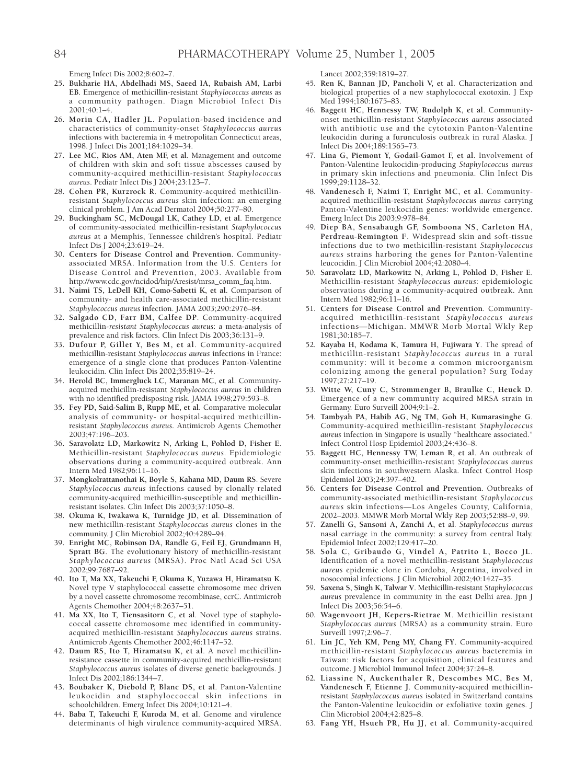Emerg Infect Dis 2002;8:602–7.

- 25**. Bukharie HA, Abdelhadi MS, Saeed IA, Rubaish AM, Larbi EB**. Emergence of methicillin-resistant *Staphylococcus aureus* as a community pathogen. Diagn Microbiol Infect Dis 2001;40:1–4.
- 26**. Morin CA, Hadler JL**. Population-based incidence and characteristics of community-onset *Staphylococcus aureus* infections with bacteremia in 4 metropolitan Connecticut areas, 1998. J Infect Dis 2001;184:1029–34.
- 27**. Lee MC, Rios AM, Aten MF, et al**. Management and outcome of children with skin and soft tissue abscesses caused by community-acquired methicillin-resistant *Staphylococcus aureus*. Pediatr Infect Dis J 2004;23:123–7.
- 28**. Cohen PR, Kurzrock R**. Community-acquired methicillinresistant *Staphylococcus aureus* skin infection: an emerging clinical problem. J Am Acad Dermatol 2004;50:277–80.
- 29**. Buckingham SC, McDougal LK, Cathey LD, et al**. Emergence of community-associated methicillin-resistant *Staphylococcus aureus* at a Memphis, Tennessee children's hospital. Pediatr Infect Dis J 2004;23:619–24.
- 30**. Centers for Disease Control and Prevention**. Communityassociated MRSA. Information from the U.S. Centers for Disease Control and Prevention, 2003. Available from http://www.cdc.gov/ncidod/hip/Aresist/mrsa\_comm\_faq.htm.
- 31**. Naimi TS, LeDell KH, Como-Sabetti K, et al**. Comparison of community- and health care-associated methicillin-resistant *Staphylococcus aureus* infection. JAMA 2003;290:2976–84.
- 32**. Salgado CD, Farr BM, Calfee DP**. Community-acquired methicillin-*resistant Staphylococcus aureus*: a meta-analysis of prevalence and risk factors. Clin Infect Dis 2003;36:131–9.
- 33**. Dufour P, Gillet Y, Bes M, et al**. Community-acquired methicillin-resistant *Staphylococcus aureus* infections in France: emergence of a single clone that produces Panton-Valentine leukocidin. Clin Infect Dis 2002;35:819–24.
- 34**. Herold BC, Immergluck LC, Maranan MC, et al**. Communityacquired methicillin-resistant *Staphylococcus aureus* in children with no identified predisposing risk. JAMA 1998;279:593–8.
- 35**. Fey PD, Said-Salim B, Rupp ME, et al**. Comparative molecular analysis of community- or hospital-acquired methicillinresistant *Staphylococcus aureus*. Antimicrob Agents Chemother 2003;47:196–203.
- 36**. Saravolatz LD, Markowitz N, Arking L, Pohlod D, Fisher E**. Methicillin-resistant *Staphylococcus aureus*. Epidemiologic observations during a community-acquired outbreak. Ann Intern Med 1982;96:11–16.
- 37**. Mongkolrattanothai K, Boyle S, Kahana MD, Daum RS**. Severe *Staphylococcus aureus* infections caused by clonally related community-acquired methicillin-susceptible and methicillinresistant isolates. Clin Infect Dis 2003;37:1050–8.
- 38**. Okuma K, Iwakawa K, Turnidge JD, et al**. Dissemination of new methicillin-resistant *Staphylococcus aureus* clones in the community. J Clin Microbiol 2002;40:4289–94.
- 39**. Enright MC, Robinson DA, Randle G, Feil EJ, Grundmann H, Spratt BG**. The evolutionary history of methicillin-resistant *Staphylococcus aureus* (MRSA). Proc Natl Acad Sci USA 2002;99:7687–92.
- 40**. Ito T, Ma XX, Takeuchi F, Okuma K, Yuzawa H, Hiramatsu K**. Novel type V staphylococcal cassette chromosome mec driven by a novel cassette chromosome recombinase, ccrC. Antimicrob Agents Chemother 2004;48:2637–51.
- 41**. Ma XX, Ito T, Tiensasitorn C, et al**. Novel type of staphylococcal cassette chromosome mec identified in communityacquired methicillin-resistant *Staphylococcus aureus* strains. Antimicrob Agents Chemother 2002;46:1147–52.
- 42**. Daum RS, Ito T, Hiramatsu K, et al**. A novel methicillinresistance cassette in community-acquired methicillin-resistant *Staphylococcus aureus* isolates of diverse genetic backgrounds. J Infect Dis 2002;186:1344–7.
- 43**. Boubaker K, Diebold P, Blanc DS, et al**. Panton-Valentine leukocidin and staphyloccoccal skin infections in schoolchildren. Emerg Infect Dis 2004;10:121–4.
- 44**. Baba T, Takeuchi F, Kuroda M, et al**. Genome and virulence determinants of high virulence community-acquired MRSA.

Lancet 2002;359:1819–27.

- 45**. Ren K, Bannan JD, Pancholi V, et al**. Characterization and biological properties of a new staphylococcal exotoxin. J Exp Med 1994;180:1675–83.
- 46**. Baggett HC, Hennessy TW, Rudolph K, et al**. Communityonset methicillin-resistant *Staphylococcus aureus* associated with antibiotic use and the cytotoxin Panton-Valentine leukocidin during a furunculosis outbreak in rural Alaska. J Infect Dis 2004;189:1565–73.
- 47**. Lina G, Piemont Y, Godail-Gamot F, et al**. Involvement of Panton-Valentine leukocidin-producing *Staphylococcus aureus* in primary skin infections and pneumonia. Clin Infect Dis 1999;29:1128–32.
- 48**. Vandenesch F, Naimi T, Enright MC, et al**. Communityacquired methicillin-resistant *Staphylococcus aureus* carrying Panton-Valentine leukocidin genes: worldwide emergence. Emerg Infect Dis 2003;9:978–84.
- 49**. Diep BA, Sensabaugh GF, Somboona NS, Carleton HA, Perdreau-Remington F**. Widespread skin and soft-tissue infections due to two methicillin-resistant *Staphylococcus aureus* strains harboring the genes for Panton-Valentine leucocidin. J Clin Microbiol 2004;42:2080–4.
- 50**. Saravolatz LD, Markowitz N, Arking L, Pohlod D, Fisher E**. Methicillin-resistant *Staphylococcus aureus*: epidemiologic observations during a community-acquired outbreak. Ann Intern Med 1982;96:11–16.
- 51**. Centers for Disease Control and Prevention**. Communityacquired methicillin-resistant *Staphylococcus aureus* infections—Michigan. MMWR Morb Mortal Wkly Rep 1981;30:185–7.
- 52**. Kayaba H, Kodama K, Tamura H, Fujiwara Y**. The spread of methicillin-resistant *Staphylococcus aureus* in a rural community: will it become a common microorganism colonizing among the general population? Surg Today 1997;27:217–19.
- 53**. Witte W, Cuny C, Strommenger B, Braulke C, Heuck D**. Emergence of a new community acquired MRSA strain in Germany. Euro Surveill 2004;9:1–2.
- 54**. Tambyah PA, Habib AG, Ng TM, Goh H, Kumarasinghe G**. Community-acquired methicillin-resistant *Staphylococcus aureus* infection in Singapore is usually "healthcare associated." Infect Control Hosp Epidemiol 2003;24:436–8.
- 55**. Baggett HC, Hennessy TW, Leman R, et al**. An outbreak of community-onset methicillin-resistant *Staphylococcus aureus* skin infections in southwestern Alaska. Infect Control Hosp Epidemiol 2003;24:397–402.
- 56**. Centers for Disease Control and Prevention**. Outbreaks of community-associated methicillin-resistant *Staphylococcus aureus* skin infections—Los Angeles County, California, 2002–2003. MMWR Morb Mortal Wkly Rep 2003;52:88–9, 99.
- 57**. Zanelli G, Sansoni A, Zanchi A, et al***. Staphylococcus aureus* nasal carriage in the community: a survey from central Italy. Epidemiol Infect 2002;129:417–20.
- 58**. Sola C, Gribaudo G, Vindel A, Patrito L, Bocco JL**. Identification of a novel methicillin-resistant *Staphylococcus aureus* epidemic clone in Cordoba, Argentina, involved in nosocomial infections. J Clin Microbiol 2002;40:1427–35.
- 59**. Saxena S, Singh K, Talwar V**. Methicillin-resistant *Staphylococcus aureus* prevalence in community in the east Delhi area. Jpn J Infect Dis 2003;56:54–6.
- 60**. Wagenvoort JH, Kepers-Rietrae M**. Methicillin resistant *Staphylococcus aureus* (MRSA) as a community strain. Euro Surveill 1997;2:96–7.
- 61**. Lin JC, Yeh KM, Peng MY, Chang FY**. Community-acquired methicillin-resistant *Staphylococcus aureus* bacteremia in Taiwan: risk factors for acquisition, clinical features and outcome. J Microbiol Immunol Infect 2004;37:24–8.
- 62**. Liassine N, Auckenthaler R, Descombes MC, Bes M, Vandenesch F, Etienne J**. Community-acquired methicillinresistant *Staphylococcus aureus* isolated in Switzerland contains the Panton-Valentine leukocidin or exfoliative toxin genes. J Clin Microbiol 2004;42:825–8.
- 63**. Fang YH, Hsueh PR, Hu JJ, et al**. Community-acquired